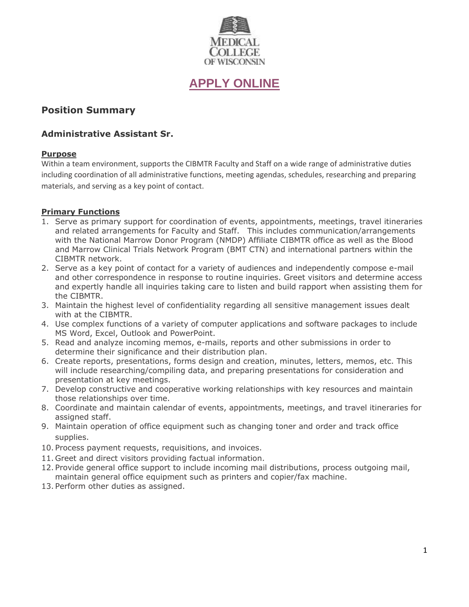

# **[APPLY ONLINE](https://careers.peopleclick.com/careerscp/client_medcollegewi/external_staff/jobDetails.do?functionName=getJobDetail&jobPostId=23607&localeCode=en-us)**

# **Position Summary**

## **Administrative Assistant Sr.**

## **Purpose**

Within a team environment, supports the CIBMTR Faculty and Staff on a wide range of administrative duties including coordination of all administrative functions, meeting agendas, schedules, researching and preparing materials, and serving as a key point of contact.

## **Primary Functions**

- 1. Serve as primary support for coordination of events, appointments, meetings, travel itineraries and related arrangements for Faculty and Staff. This includes communication/arrangements with the National Marrow Donor Program (NMDP) Affiliate CIBMTR office as well as the Blood and Marrow Clinical Trials Network Program (BMT CTN) and international partners within the CIBMTR network.
- 2. Serve as a key point of contact for a variety of audiences and independently compose e-mail and other correspondence in response to routine inquiries. Greet visitors and determine access and expertly handle all inquiries taking care to listen and build rapport when assisting them for the CIBMTR.
- 3. Maintain the highest level of confidentiality regarding all sensitive management issues dealt with at the CIBMTR.
- 4. Use complex functions of a variety of computer applications and software packages to include MS Word, Excel, Outlook and PowerPoint.
- 5. Read and analyze incoming memos, e-mails, reports and other submissions in order to determine their significance and their distribution plan.
- 6. Create reports, presentations, forms design and creation, minutes, letters, memos, etc. This will include researching/compiling data, and preparing presentations for consideration and presentation at key meetings.
- 7. Develop constructive and cooperative working relationships with key resources and maintain those relationships over time.
- 8. Coordinate and maintain calendar of events, appointments, meetings, and travel itineraries for assigned staff.
- 9. Maintain operation of office equipment such as changing toner and order and track office supplies.
- 10. Process payment requests, requisitions, and invoices.
- 11. Greet and direct visitors providing factual information.
- 12. Provide general office support to include incoming mail distributions, process outgoing mail, maintain general office equipment such as printers and copier/fax machine.
- 13. Perform other duties as assigned.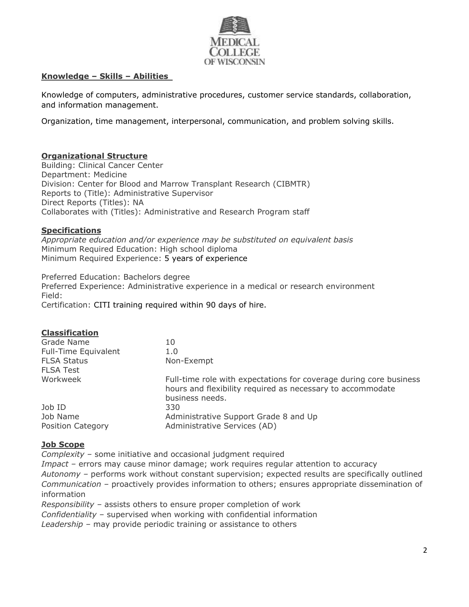

## **Knowledge – Skills – Abilities**

Knowledge of computers, administrative procedures, customer service standards, collaboration, and information management.

Organization, time management, interpersonal, communication, and problem solving skills.

## **Organizational Structure**

Building: Clinical Cancer Center Department: Medicine Division: Center for Blood and Marrow Transplant Research (CIBMTR) Reports to (Title): Administrative Supervisor Direct Reports (Titles): NA Collaborates with (Titles): Administrative and Research Program staff

#### **Specifications**

*Appropriate education and/or experience may be substituted on equivalent basis* Minimum Required Education: High school diploma Minimum Required Experience: 5 years of experience

Preferred Education: Bachelors degree Preferred Experience: Administrative experience in a medical or research environment Field: Certification: CITI training required within 90 days of hire.

| 10                                                                                                                                                  |
|-----------------------------------------------------------------------------------------------------------------------------------------------------|
| 1.0                                                                                                                                                 |
| Non-Exempt                                                                                                                                          |
|                                                                                                                                                     |
| Full-time role with expectations for coverage during core business<br>hours and flexibility required as necessary to accommodate<br>business needs. |
| 330                                                                                                                                                 |
| Administrative Support Grade 8 and Up<br>Administrative Services (AD)                                                                               |
|                                                                                                                                                     |

#### **Job Scope**

*Complexity –* some initiative and occasional judgment required

*Impact –* errors may cause minor damage; work requires regular attention to accuracy *Autonomy –* performs work without constant supervision; expected results are specifically outlined *Communication –* proactively provides information to others; ensures appropriate dissemination of information

*Responsibility –* assists others to ensure proper completion of work

*Confidentiality –* supervised when working with confidential information

*Leadership –* may provide periodic training or assistance to others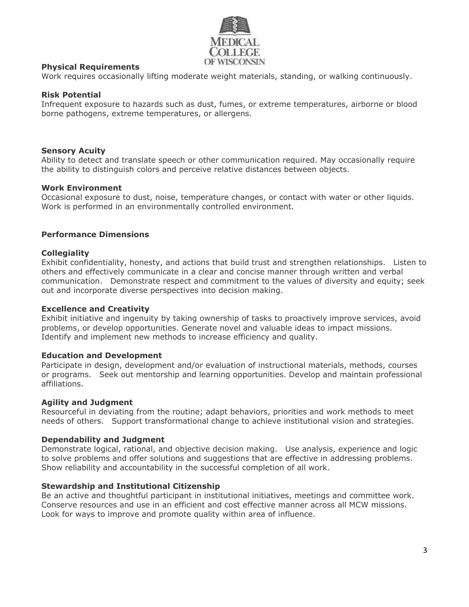

### **Physical Requirements**

Work requires occasionally lifting moderate weight materials, standing, or walking continuously.

#### **Risk Potential**

Infrequent exposure to hazards such as dust, fumes, or extreme temperatures, airborne or blood borne pathogens, extreme temperatures, or allergens.

#### **Sensory Acuity**

Ability to detect and translate speech or other communication required. May occasionally require the ability to distinguish colors and perceive relative distances between objects.

#### **Work Environment**

Occasional exposure to dust, noise, temperature changes, or contact with water or other liquids. Work is performed in an environmentally controlled environment.

#### **Performance Dimensions**

#### **Collegiality**

Exhibit confidentiality, honesty, and actions that build trust and strengthen relationships. Listen to others and effectively communicate in a clear and concise manner through written and verbal communication. Demonstrate respect and commitment to the values of diversity and equity; seek out and incorporate diverse perspectives into decision making.

#### **Excellence and Creativity**

Exhibit initiative and ingenuity by taking ownership of tasks to proactively improve services, avoid problems, or develop opportunities. Generate novel and valuable ideas to impact missions. Identify and implement new methods to increase efficiency and quality.

#### **Education and Development**

Participate in design, development and/or evaluation of instructional materials, methods, courses or programs. Seek out mentorship and learning opportunities. Develop and maintain professional affiliations.

#### **Agility and Judgment**

Resourceful in deviating from the routine; adapt behaviors, priorities and work methods to meet needs of others. Support transformational change to achieve institutional vision and strategies.

#### **Dependability and Judgment**

Demonstrate logical, rational, and objective decision making. Use analysis, experience and logic to solve problems and offer solutions and suggestions that are effective in addressing problems. Show reliability and accountability in the successful completion of all work.

#### **Stewardship and Institutional Citizenship**

Be an active and thoughtful participant in institutional initiatives, meetings and committee work. Conserve resources and use in an efficient and cost effective manner across all MCW missions. Look for ways to improve and promote quality within area of influence.